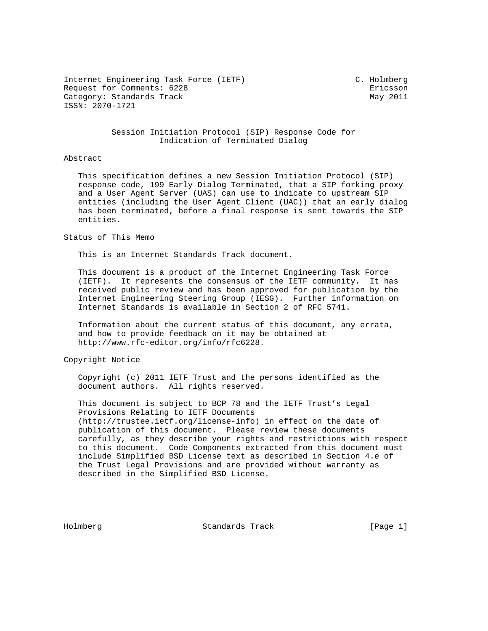Internet Engineering Task Force (IETF) C. Holmberg Request for Comments: 6228 Ericsson Category: Standards Track May 2011 ISSN: 2070-1721

### Session Initiation Protocol (SIP) Response Code for Indication of Terminated Dialog

#### Abstract

 This specification defines a new Session Initiation Protocol (SIP) response code, 199 Early Dialog Terminated, that a SIP forking proxy and a User Agent Server (UAS) can use to indicate to upstream SIP entities (including the User Agent Client (UAC)) that an early dialog has been terminated, before a final response is sent towards the SIP entities.

#### Status of This Memo

This is an Internet Standards Track document.

 This document is a product of the Internet Engineering Task Force (IETF). It represents the consensus of the IETF community. It has received public review and has been approved for publication by the Internet Engineering Steering Group (IESG). Further information on Internet Standards is available in Section 2 of RFC 5741.

 Information about the current status of this document, any errata, and how to provide feedback on it may be obtained at http://www.rfc-editor.org/info/rfc6228.

Copyright Notice

 Copyright (c) 2011 IETF Trust and the persons identified as the document authors. All rights reserved.

 This document is subject to BCP 78 and the IETF Trust's Legal Provisions Relating to IETF Documents (http://trustee.ietf.org/license-info) in effect on the date of publication of this document. Please review these documents carefully, as they describe your rights and restrictions with respect to this document. Code Components extracted from this document must include Simplified BSD License text as described in Section 4.e of the Trust Legal Provisions and are provided without warranty as described in the Simplified BSD License.

Holmberg Standards Track [Page 1]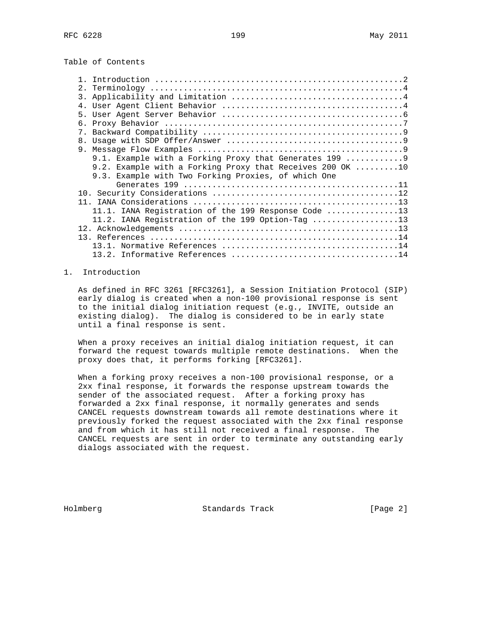Table of Contents

| 2.1                                                                      |
|--------------------------------------------------------------------------|
| 3.                                                                       |
|                                                                          |
|                                                                          |
|                                                                          |
|                                                                          |
|                                                                          |
|                                                                          |
| 9.1. Example with a Forking Proxy that Generates 199 9                   |
| 9.2. Example with a Forking Proxy that Receives 200 OK $\dots\dots\dots$ |
| 9.3. Example with Two Forking Proxies, of which One                      |
|                                                                          |
|                                                                          |
|                                                                          |
| 11.1. IANA Registration of the 199 Response Code 13                      |
| 11.2. IANA Registration of the 199 Option-Tag 13                         |
|                                                                          |
|                                                                          |
|                                                                          |
|                                                                          |
|                                                                          |

## 1. Introduction

 As defined in RFC 3261 [RFC3261], a Session Initiation Protocol (SIP) early dialog is created when a non-100 provisional response is sent to the initial dialog initiation request (e.g., INVITE, outside an existing dialog). The dialog is considered to be in early state until a final response is sent.

 When a proxy receives an initial dialog initiation request, it can forward the request towards multiple remote destinations. When the proxy does that, it performs forking [RFC3261].

 When a forking proxy receives a non-100 provisional response, or a 2xx final response, it forwards the response upstream towards the sender of the associated request. After a forking proxy has forwarded a 2xx final response, it normally generates and sends CANCEL requests downstream towards all remote destinations where it previously forked the request associated with the 2xx final response and from which it has still not received a final response. The CANCEL requests are sent in order to terminate any outstanding early dialogs associated with the request.

Holmberg Standards Track [Page 2]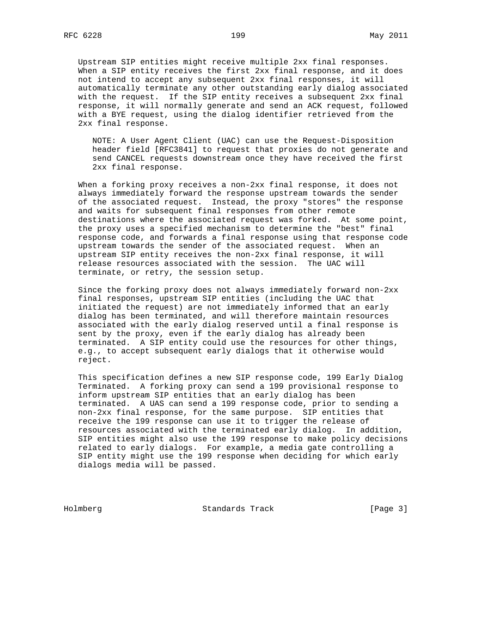Upstream SIP entities might receive multiple 2xx final responses. When a SIP entity receives the first 2xx final response, and it does not intend to accept any subsequent 2xx final responses, it will automatically terminate any other outstanding early dialog associated with the request. If the SIP entity receives a subsequent 2xx final response, it will normally generate and send an ACK request, followed with a BYE request, using the dialog identifier retrieved from the 2xx final response.

 NOTE: A User Agent Client (UAC) can use the Request-Disposition header field [RFC3841] to request that proxies do not generate and send CANCEL requests downstream once they have received the first 2xx final response.

 When a forking proxy receives a non-2xx final response, it does not always immediately forward the response upstream towards the sender of the associated request. Instead, the proxy "stores" the response and waits for subsequent final responses from other remote destinations where the associated request was forked. At some point, the proxy uses a specified mechanism to determine the "best" final response code, and forwards a final response using that response code upstream towards the sender of the associated request. When an upstream SIP entity receives the non-2xx final response, it will release resources associated with the session. The UAC will terminate, or retry, the session setup.

 Since the forking proxy does not always immediately forward non-2xx final responses, upstream SIP entities (including the UAC that initiated the request) are not immediately informed that an early dialog has been terminated, and will therefore maintain resources associated with the early dialog reserved until a final response is sent by the proxy, even if the early dialog has already been terminated. A SIP entity could use the resources for other things, e.g., to accept subsequent early dialogs that it otherwise would reject.

 This specification defines a new SIP response code, 199 Early Dialog Terminated. A forking proxy can send a 199 provisional response to inform upstream SIP entities that an early dialog has been terminated. A UAS can send a 199 response code, prior to sending a non-2xx final response, for the same purpose. SIP entities that receive the 199 response can use it to trigger the release of resources associated with the terminated early dialog. In addition, SIP entities might also use the 199 response to make policy decisions related to early dialogs. For example, a media gate controlling a SIP entity might use the 199 response when deciding for which early dialogs media will be passed.

Holmberg Standards Track [Page 3]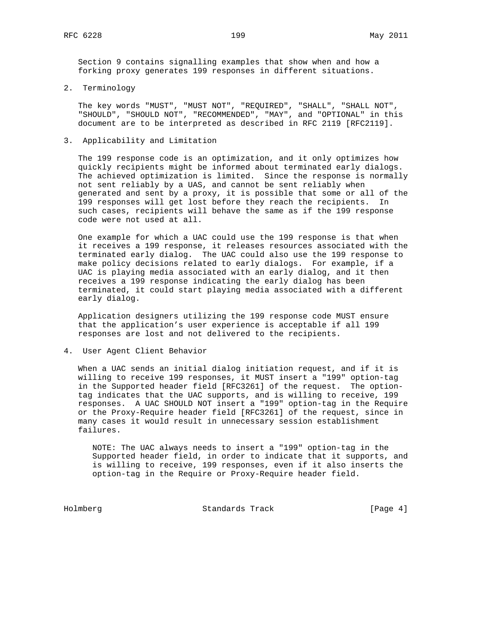Section 9 contains signalling examples that show when and how a forking proxy generates 199 responses in different situations.

2. Terminology

 The key words "MUST", "MUST NOT", "REQUIRED", "SHALL", "SHALL NOT", "SHOULD", "SHOULD NOT", "RECOMMENDED", "MAY", and "OPTIONAL" in this document are to be interpreted as described in RFC 2119 [RFC2119].

3. Applicability and Limitation

 The 199 response code is an optimization, and it only optimizes how quickly recipients might be informed about terminated early dialogs. The achieved optimization is limited. Since the response is normally not sent reliably by a UAS, and cannot be sent reliably when generated and sent by a proxy, it is possible that some or all of the 199 responses will get lost before they reach the recipients. In such cases, recipients will behave the same as if the 199 response code were not used at all.

 One example for which a UAC could use the 199 response is that when it receives a 199 response, it releases resources associated with the terminated early dialog. The UAC could also use the 199 response to make policy decisions related to early dialogs. For example, if a UAC is playing media associated with an early dialog, and it then receives a 199 response indicating the early dialog has been terminated, it could start playing media associated with a different early dialog.

 Application designers utilizing the 199 response code MUST ensure that the application's user experience is acceptable if all 199 responses are lost and not delivered to the recipients.

4. User Agent Client Behavior

 When a UAC sends an initial dialog initiation request, and if it is willing to receive 199 responses, it MUST insert a "199" option-tag in the Supported header field [RFC3261] of the request. The option tag indicates that the UAC supports, and is willing to receive, 199 responses. A UAC SHOULD NOT insert a "199" option-tag in the Require or the Proxy-Require header field [RFC3261] of the request, since in many cases it would result in unnecessary session establishment failures.

 NOTE: The UAC always needs to insert a "199" option-tag in the Supported header field, in order to indicate that it supports, and is willing to receive, 199 responses, even if it also inserts the option-tag in the Require or Proxy-Require header field.

Holmberg Standards Track [Page 4]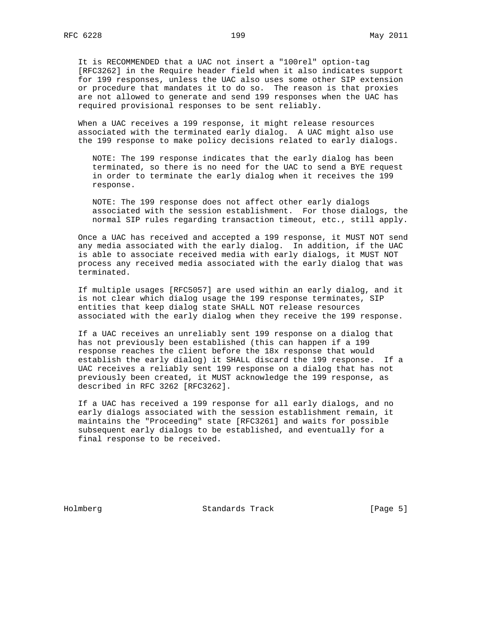It is RECOMMENDED that a UAC not insert a "100rel" option-tag [RFC3262] in the Require header field when it also indicates support for 199 responses, unless the UAC also uses some other SIP extension or procedure that mandates it to do so. The reason is that proxies are not allowed to generate and send 199 responses when the UAC has required provisional responses to be sent reliably.

 When a UAC receives a 199 response, it might release resources associated with the terminated early dialog. A UAC might also use the 199 response to make policy decisions related to early dialogs.

 NOTE: The 199 response indicates that the early dialog has been terminated, so there is no need for the UAC to send a BYE request in order to terminate the early dialog when it receives the 199 response.

 NOTE: The 199 response does not affect other early dialogs associated with the session establishment. For those dialogs, the normal SIP rules regarding transaction timeout, etc., still apply.

 Once a UAC has received and accepted a 199 response, it MUST NOT send any media associated with the early dialog. In addition, if the UAC is able to associate received media with early dialogs, it MUST NOT process any received media associated with the early dialog that was terminated.

 If multiple usages [RFC5057] are used within an early dialog, and it is not clear which dialog usage the 199 response terminates, SIP entities that keep dialog state SHALL NOT release resources associated with the early dialog when they receive the 199 response.

 If a UAC receives an unreliably sent 199 response on a dialog that has not previously been established (this can happen if a 199 response reaches the client before the 18x response that would establish the early dialog) it SHALL discard the 199 response. If a UAC receives a reliably sent 199 response on a dialog that has not previously been created, it MUST acknowledge the 199 response, as described in RFC 3262 [RFC3262].

 If a UAC has received a 199 response for all early dialogs, and no early dialogs associated with the session establishment remain, it maintains the "Proceeding" state [RFC3261] and waits for possible subsequent early dialogs to be established, and eventually for a final response to be received.

Holmberg Standards Track [Page 5]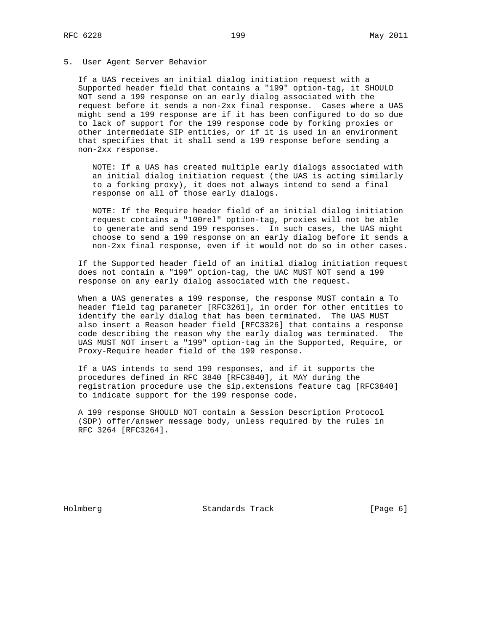#### 5. User Agent Server Behavior

 If a UAS receives an initial dialog initiation request with a Supported header field that contains a "199" option-tag, it SHOULD NOT send a 199 response on an early dialog associated with the request before it sends a non-2xx final response. Cases where a UAS might send a 199 response are if it has been configured to do so due to lack of support for the 199 response code by forking proxies or other intermediate SIP entities, or if it is used in an environment that specifies that it shall send a 199 response before sending a non-2xx response.

 NOTE: If a UAS has created multiple early dialogs associated with an initial dialog initiation request (the UAS is acting similarly to a forking proxy), it does not always intend to send a final response on all of those early dialogs.

 NOTE: If the Require header field of an initial dialog initiation request contains a "100rel" option-tag, proxies will not be able to generate and send 199 responses. In such cases, the UAS might choose to send a 199 response on an early dialog before it sends a non-2xx final response, even if it would not do so in other cases.

 If the Supported header field of an initial dialog initiation request does not contain a "199" option-tag, the UAC MUST NOT send a 199 response on any early dialog associated with the request.

 When a UAS generates a 199 response, the response MUST contain a To header field tag parameter [RFC3261], in order for other entities to identify the early dialog that has been terminated. The UAS MUST also insert a Reason header field [RFC3326] that contains a response code describing the reason why the early dialog was terminated. The UAS MUST NOT insert a "199" option-tag in the Supported, Require, or Proxy-Require header field of the 199 response.

 If a UAS intends to send 199 responses, and if it supports the procedures defined in RFC 3840 [RFC3840], it MAY during the registration procedure use the sip.extensions feature tag [RFC3840] to indicate support for the 199 response code.

 A 199 response SHOULD NOT contain a Session Description Protocol (SDP) offer/answer message body, unless required by the rules in RFC 3264 [RFC3264].

Holmberg Standards Track [Page 6]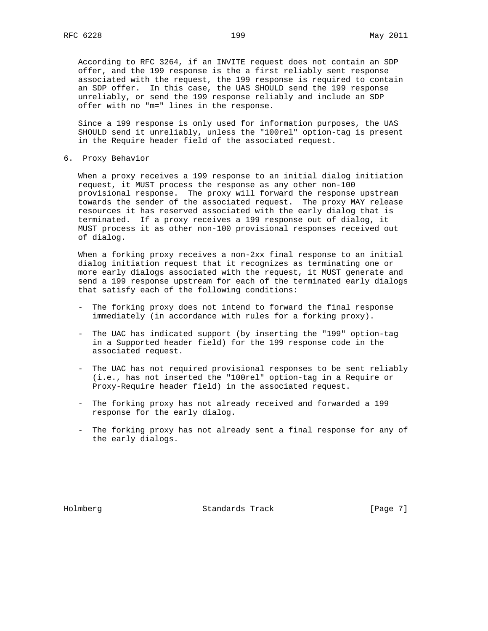According to RFC 3264, if an INVITE request does not contain an SDP offer, and the 199 response is the a first reliably sent response associated with the request, the 199 response is required to contain an SDP offer. In this case, the UAS SHOULD send the 199 response unreliably, or send the 199 response reliably and include an SDP offer with no "m=" lines in the response.

 Since a 199 response is only used for information purposes, the UAS SHOULD send it unreliably, unless the "100rel" option-tag is present in the Require header field of the associated request.

6. Proxy Behavior

 When a proxy receives a 199 response to an initial dialog initiation request, it MUST process the response as any other non-100 provisional response. The proxy will forward the response upstream towards the sender of the associated request. The proxy MAY release resources it has reserved associated with the early dialog that is terminated. If a proxy receives a 199 response out of dialog, it MUST process it as other non-100 provisional responses received out of dialog.

 When a forking proxy receives a non-2xx final response to an initial dialog initiation request that it recognizes as terminating one or more early dialogs associated with the request, it MUST generate and send a 199 response upstream for each of the terminated early dialogs that satisfy each of the following conditions:

- The forking proxy does not intend to forward the final response immediately (in accordance with rules for a forking proxy).
- The UAC has indicated support (by inserting the "199" option-tag in a Supported header field) for the 199 response code in the associated request.
- The UAC has not required provisional responses to be sent reliably (i.e., has not inserted the "100rel" option-tag in a Require or Proxy-Require header field) in the associated request.
- The forking proxy has not already received and forwarded a 199 response for the early dialog.
- The forking proxy has not already sent a final response for any of the early dialogs.

Holmberg Standards Track [Page 7]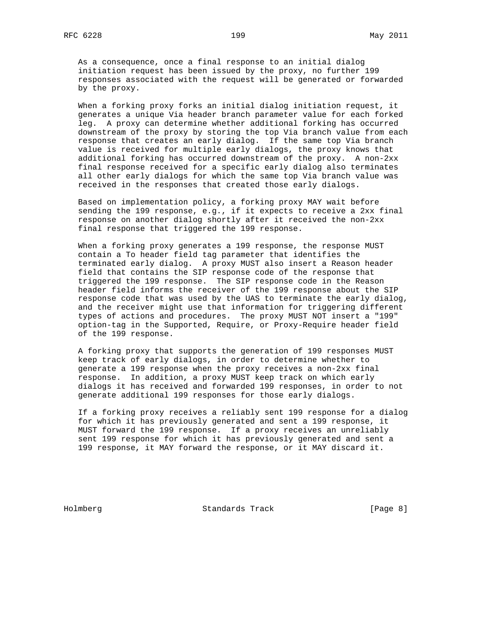As a consequence, once a final response to an initial dialog initiation request has been issued by the proxy, no further 199 responses associated with the request will be generated or forwarded by the proxy.

 When a forking proxy forks an initial dialog initiation request, it generates a unique Via header branch parameter value for each forked leg. A proxy can determine whether additional forking has occurred downstream of the proxy by storing the top Via branch value from each response that creates an early dialog. If the same top Via branch value is received for multiple early dialogs, the proxy knows that additional forking has occurred downstream of the proxy. A non-2xx final response received for a specific early dialog also terminates all other early dialogs for which the same top Via branch value was received in the responses that created those early dialogs.

 Based on implementation policy, a forking proxy MAY wait before sending the 199 response, e.g., if it expects to receive a 2xx final response on another dialog shortly after it received the non-2xx final response that triggered the 199 response.

 When a forking proxy generates a 199 response, the response MUST contain a To header field tag parameter that identifies the terminated early dialog. A proxy MUST also insert a Reason header field that contains the SIP response code of the response that triggered the 199 response. The SIP response code in the Reason header field informs the receiver of the 199 response about the SIP response code that was used by the UAS to terminate the early dialog, and the receiver might use that information for triggering different types of actions and procedures. The proxy MUST NOT insert a "199" option-tag in the Supported, Require, or Proxy-Require header field of the 199 response.

 A forking proxy that supports the generation of 199 responses MUST keep track of early dialogs, in order to determine whether to generate a 199 response when the proxy receives a non-2xx final response. In addition, a proxy MUST keep track on which early dialogs it has received and forwarded 199 responses, in order to not generate additional 199 responses for those early dialogs.

 If a forking proxy receives a reliably sent 199 response for a dialog for which it has previously generated and sent a 199 response, it MUST forward the 199 response. If a proxy receives an unreliably sent 199 response for which it has previously generated and sent a 199 response, it MAY forward the response, or it MAY discard it.

Holmberg Standards Track [Page 8]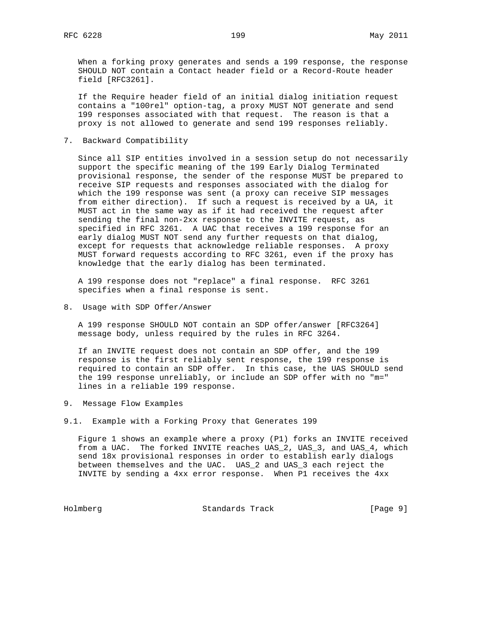When a forking proxy generates and sends a 199 response, the response SHOULD NOT contain a Contact header field or a Record-Route header field [RFC3261].

 If the Require header field of an initial dialog initiation request contains a "100rel" option-tag, a proxy MUST NOT generate and send 199 responses associated with that request. The reason is that a proxy is not allowed to generate and send 199 responses reliably.

7. Backward Compatibility

 Since all SIP entities involved in a session setup do not necessarily support the specific meaning of the 199 Early Dialog Terminated provisional response, the sender of the response MUST be prepared to receive SIP requests and responses associated with the dialog for which the 199 response was sent (a proxy can receive SIP messages from either direction). If such a request is received by a UA, it MUST act in the same way as if it had received the request after sending the final non-2xx response to the INVITE request, as specified in RFC 3261. A UAC that receives a 199 response for an early dialog MUST NOT send any further requests on that dialog, except for requests that acknowledge reliable responses. A proxy MUST forward requests according to RFC 3261, even if the proxy has knowledge that the early dialog has been terminated.

 A 199 response does not "replace" a final response. RFC 3261 specifies when a final response is sent.

8. Usage with SDP Offer/Answer

 A 199 response SHOULD NOT contain an SDP offer/answer [RFC3264] message body, unless required by the rules in RFC 3264.

 If an INVITE request does not contain an SDP offer, and the 199 response is the first reliably sent response, the 199 response is required to contain an SDP offer. In this case, the UAS SHOULD send the 199 response unreliably, or include an SDP offer with no "m=" lines in a reliable 199 response.

- 9. Message Flow Examples
- 9.1. Example with a Forking Proxy that Generates 199

 Figure 1 shows an example where a proxy (P1) forks an INVITE received from a UAC. The forked INVITE reaches UAS\_2, UAS\_3, and UAS\_4, which send 18x provisional responses in order to establish early dialogs between themselves and the UAC. UAS\_2 and UAS\_3 each reject the INVITE by sending a 4xx error response. When P1 receives the 4xx

Holmberg Standards Track [Page 9]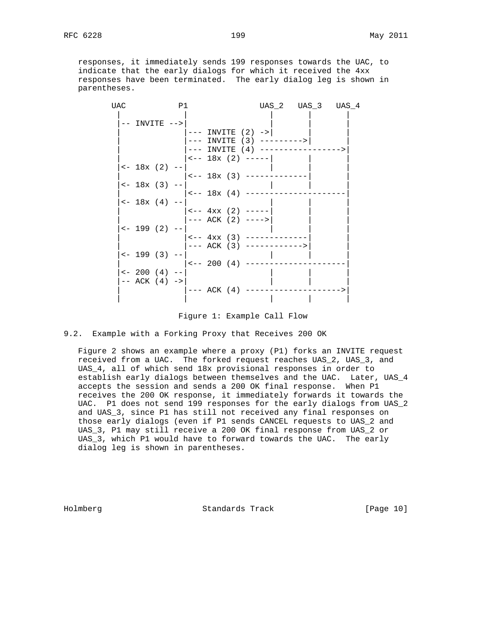responses, it immediately sends 199 responses towards the UAC, to indicate that the early dialogs for which it received the 4xx responses have been terminated. The early dialog leg is shown in parentheses.

| UAC | P1                      |  |                            | UAS_2 UAS_3 UAS_4                 |  |
|-----|-------------------------|--|----------------------------|-----------------------------------|--|
|     | -- INVITE -->           |  |                            |                                   |  |
|     |                         |  | $ ---$ INVITE $(2)$ ->     |                                   |  |
|     |                         |  |                            | $---$ INVITE (3) --------->       |  |
|     |                         |  | $---$ INVITE $(4)$ ------- |                                   |  |
|     |                         |  | $ --- 18x (2) ---$         |                                   |  |
|     | $\leftarrow$ 18x (2) -- |  |                            |                                   |  |
|     |                         |  | <-- 18x (3) -----          |                                   |  |
|     | $\leftarrow$ 18x (3) -- |  |                            |                                   |  |
|     |                         |  | $ --- 18x (4) ---$         |                                   |  |
|     | $\leftarrow$ 18x (4) -- |  |                            |                                   |  |
|     |                         |  | $ --- 4xx (2) ---$         |                                   |  |
|     |                         |  | $ ---ACK (2) ---$          |                                   |  |
|     | $\leftarrow$ 199 (2) -- |  |                            |                                   |  |
|     |                         |  | $ --- 4xx (3) ---$         |                                   |  |
|     |                         |  |                            | $ ---ACK (3) --- --- --- --- ---$ |  |
|     | $\leftarrow$ 199 (3) -- |  |                            |                                   |  |
|     |                         |  | $ --- 200 (4) ---$         |                                   |  |
|     | $\leftarrow$ 200 (4) -- |  |                            |                                   |  |
|     | $--$ ACK $(4)$ $->$     |  |                            |                                   |  |
|     |                         |  | $---$ ACK $(4)$ $---$      |                                   |  |
|     |                         |  |                            |                                   |  |
|     |                         |  |                            |                                   |  |

Figure 1: Example Call Flow

### 9.2. Example with a Forking Proxy that Receives 200 OK

 Figure 2 shows an example where a proxy (P1) forks an INVITE request received from a UAC. The forked request reaches UAS\_2, UAS\_3, and UAS\_4, all of which send 18x provisional responses in order to establish early dialogs between themselves and the UAC. Later, UAS\_4 accepts the session and sends a 200 OK final response. When P1 receives the 200 OK response, it immediately forwards it towards the UAC. P1 does not send 199 responses for the early dialogs from UAS\_2 and UAS\_3, since P1 has still not received any final responses on those early dialogs (even if P1 sends CANCEL requests to UAS\_2 and UAS\_3, P1 may still receive a 200 OK final response from UAS\_2 or UAS\_3, which P1 would have to forward towards the UAC. The early dialog leg is shown in parentheses.

Holmberg Standards Track [Page 10]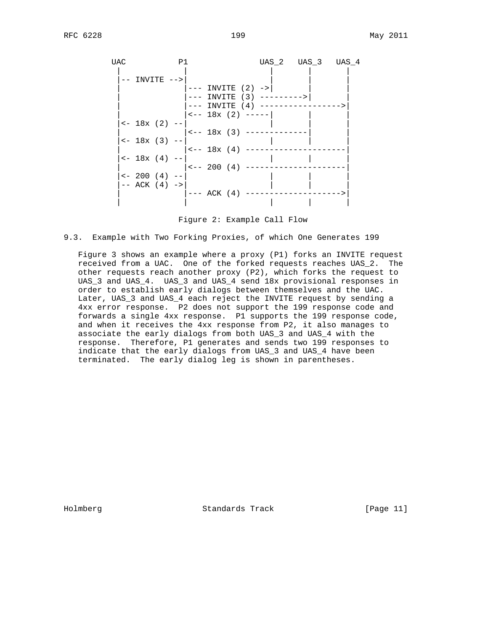UAC P1 UAS\_2 UAS\_3 UAS\_4 | | | | | |-- INVITE -->| | | |  $|-----$  INVITE  $(2)$  -> | |--- INVITE (3) --------->| | --- INVITE (4) ---------------->  $\left| \begin{array}{cc} - - 18x & (2) & - - - - - \end{array} \right|$  $| \leftarrow 18 \times (2)$  -- $|$  <-- 18x (3) ------------- $|$  <- 18x (3) --  $|$  $|$  <-- 18x (4) ------------ $\left| \begin{array}{cc} - & 18x & (4) & - & | \end{array} \right|$  $|$  <-- 200 (4) ------------ $\left| \left( 4 \right) \right|$  -- $--$  ACK  $(4)$   $->$  $|-----$  ACK (4) ----------| | | | |

Figure 2: Example Call Flow

#### 9.3. Example with Two Forking Proxies, of which One Generates 199

 Figure 3 shows an example where a proxy (P1) forks an INVITE request received from a UAC. One of the forked requests reaches UAS\_2. The other requests reach another proxy (P2), which forks the request to UAS\_3 and UAS\_4. UAS\_3 and UAS\_4 send 18x provisional responses in order to establish early dialogs between themselves and the UAC. Later, UAS\_3 and UAS\_4 each reject the INVITE request by sending a 4xx error response. P2 does not support the 199 response code and forwards a single 4xx response. P1 supports the 199 response code, and when it receives the 4xx response from P2, it also manages to associate the early dialogs from both UAS\_3 and UAS\_4 with the response. Therefore, P1 generates and sends two 199 responses to indicate that the early dialogs from UAS\_3 and UAS\_4 have been terminated. The early dialog leg is shown in parentheses.

Holmberg Standards Track [Page 11]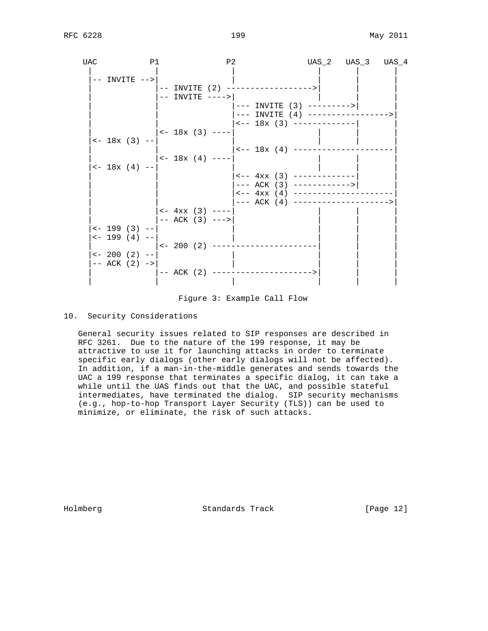| UAC | P1                      | P2                        |                                     | UAS_2 UAS_3 UAS_4                          |
|-----|-------------------------|---------------------------|-------------------------------------|--------------------------------------------|
|     | $--$ INVITE $--$        |                           |                                     |                                            |
|     |                         |                           | -- INVITE (2) ------------------>   |                                            |
|     |                         | -- INVITE ---->           |                                     |                                            |
|     |                         |                           | $---$ INVITE (3) --------->         |                                            |
|     |                         |                           |                                     | --- INVITE (4) ----------------->          |
|     |                         |                           | $\leftarrow -18x$ (3) ------------- |                                            |
|     |                         | $<-18x$ (3) ----          |                                     |                                            |
|     | $\leftarrow$ 18x (3) -- |                           |                                     |                                            |
|     |                         |                           | $--- 18x (4) ---------$             |                                            |
|     |                         | $\leftarrow$ 18x (4) ---- |                                     |                                            |
|     | $\leftarrow$ 18x (4) -- |                           |                                     |                                            |
|     |                         |                           | $\leftarrow -4xx$ (3) ------------- |                                            |
|     |                         |                           | $---$ ACK (3) ------------>         |                                            |
|     |                         |                           |                                     | $\leftarrow -4xx (4)$ -------------------- |
|     |                         |                           |                                     | --- ACK (4) --------------------->         |
|     |                         | $\leftarrow$ 4xx (3) ---- |                                     |                                            |
|     |                         | $---$ ACK (3) $---$       |                                     |                                            |
|     | $\leftarrow$ 199 (3) -- |                           |                                     |                                            |
|     | $\leftarrow$ 199 (4) -- |                           |                                     |                                            |
|     |                         |                           | $<-200$ (2) --------------------    |                                            |
|     | $\leftarrow$ 200 (2) -- |                           |                                     |                                            |
|     | $--$ ACK $(2)$ $->$     |                           |                                     |                                            |
|     |                         | $---$ ACK (2) $------$    | -------------->                     |                                            |
|     |                         |                           |                                     |                                            |
|     |                         |                           |                                     |                                            |

Figure 3: Example Call Flow

## 10. Security Considerations

 General security issues related to SIP responses are described in RFC 3261. Due to the nature of the 199 response, it may be attractive to use it for launching attacks in order to terminate specific early dialogs (other early dialogs will not be affected). In addition, if a man-in-the-middle generates and sends towards the UAC a 199 response that terminates a specific dialog, it can take a while until the UAS finds out that the UAC, and possible stateful intermediates, have terminated the dialog. SIP security mechanisms (e.g., hop-to-hop Transport Layer Security (TLS)) can be used to minimize, or eliminate, the risk of such attacks.

Holmberg Standards Track [Page 12]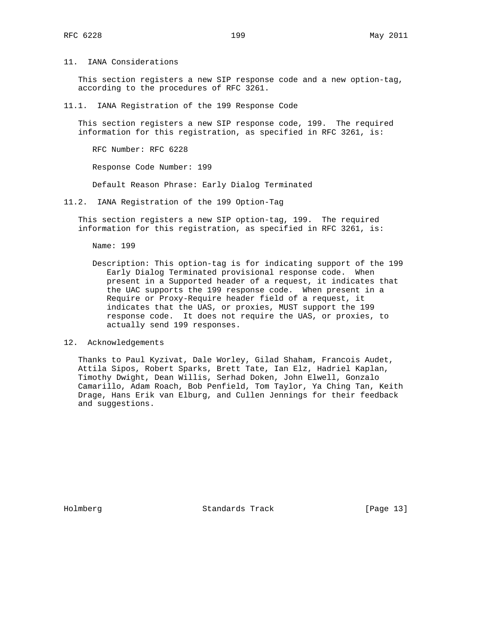11. IANA Considerations

 This section registers a new SIP response code and a new option-tag, according to the procedures of RFC 3261.

11.1. IANA Registration of the 199 Response Code

 This section registers a new SIP response code, 199. The required information for this registration, as specified in RFC 3261, is:

RFC Number: RFC 6228

Response Code Number: 199

Default Reason Phrase: Early Dialog Terminated

11.2. IANA Registration of the 199 Option-Tag

 This section registers a new SIP option-tag, 199. The required information for this registration, as specified in RFC 3261, is:

Name: 199

 Description: This option-tag is for indicating support of the 199 Early Dialog Terminated provisional response code. When present in a Supported header of a request, it indicates that the UAC supports the 199 response code. When present in a Require or Proxy-Require header field of a request, it indicates that the UAS, or proxies, MUST support the 199 response code. It does not require the UAS, or proxies, to actually send 199 responses.

12. Acknowledgements

 Thanks to Paul Kyzivat, Dale Worley, Gilad Shaham, Francois Audet, Attila Sipos, Robert Sparks, Brett Tate, Ian Elz, Hadriel Kaplan, Timothy Dwight, Dean Willis, Serhad Doken, John Elwell, Gonzalo Camarillo, Adam Roach, Bob Penfield, Tom Taylor, Ya Ching Tan, Keith Drage, Hans Erik van Elburg, and Cullen Jennings for their feedback and suggestions.

Holmberg Standards Track [Page 13]